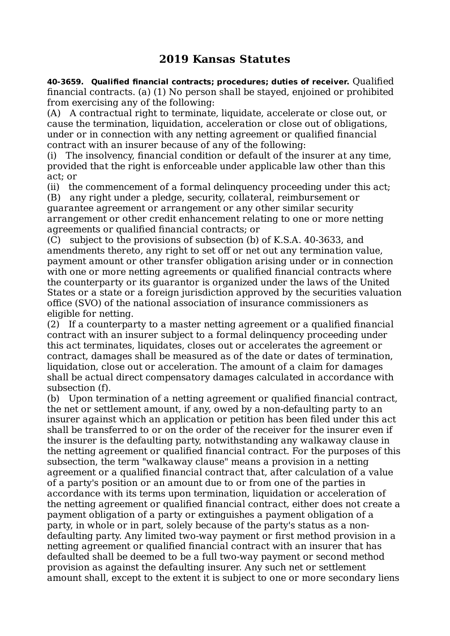## **2019 Kansas Statutes**

**40-3659. Qualified financial contracts; procedures; duties of receiver.** Qualified financial contracts. (a) (1) No person shall be stayed, enjoined or prohibited from exercising any of the following:

(A) A contractual right to terminate, liquidate, accelerate or close out, or cause the termination, liquidation, acceleration or close out of obligations, under or in connection with any netting agreement or qualified financial contract with an insurer because of any of the following:

(i) The insolvency, financial condition or default of the insurer at any time, provided that the right is enforceable under applicable law other than this act; or

(ii) the commencement of a formal delinquency proceeding under this act;

(B) any right under a pledge, security, collateral, reimbursement or guarantee agreement or arrangement or any other similar security arrangement or other credit enhancement relating to one or more netting agreements or qualified financial contracts; or

(C) subject to the provisions of subsection (b) of K.S.A. 40-3633, and amendments thereto, any right to set off or net out any termination value, payment amount or other transfer obligation arising under or in connection with one or more netting agreements or qualified financial contracts where the counterparty or its guarantor is organized under the laws of the United States or a state or a foreign jurisdiction approved by the securities valuation office (SVO) of the national association of insurance commissioners as eligible for netting.

(2) If a counterparty to a master netting agreement or a qualified financial contract with an insurer subject to a formal delinquency proceeding under this act terminates, liquidates, closes out or accelerates the agreement or contract, damages shall be measured as of the date or dates of termination, liquidation, close out or acceleration. The amount of a claim for damages shall be actual direct compensatory damages calculated in accordance with subsection (f).

(b) Upon termination of a netting agreement or qualified financial contract, the net or settlement amount, if any, owed by a non-defaulting party to an insurer against which an application or petition has been filed under this act shall be transferred to or on the order of the receiver for the insurer even if the insurer is the defaulting party, notwithstanding any walkaway clause in the netting agreement or qualified financial contract. For the purposes of this subsection, the term "walkaway clause" means a provision in a netting agreement or a qualified financial contract that, after calculation of a value of a party's position or an amount due to or from one of the parties in accordance with its terms upon termination, liquidation or acceleration of the netting agreement or qualified financial contract, either does not create a payment obligation of a party or extinguishes a payment obligation of a party, in whole or in part, solely because of the party's status as a nondefaulting party. Any limited two-way payment or first method provision in a netting agreement or qualified financial contract with an insurer that has defaulted shall be deemed to be a full two-way payment or second method provision as against the defaulting insurer. Any such net or settlement amount shall, except to the extent it is subject to one or more secondary liens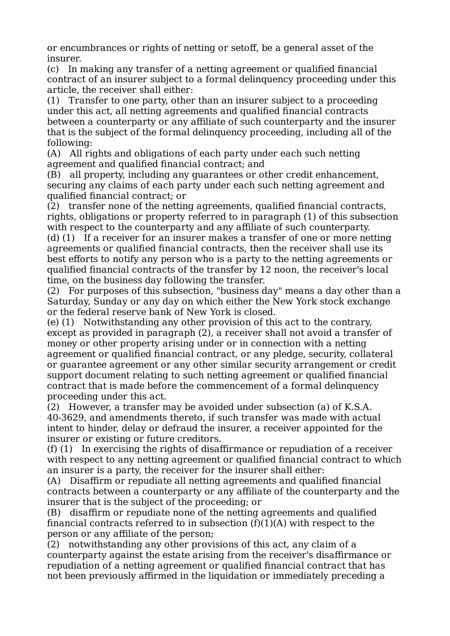or encumbrances or rights of netting or setoff, be a general asset of the insurer.

(c) In making any transfer of a netting agreement or qualified financial contract of an insurer subject to a formal delinquency proceeding under this article, the receiver shall either:

(1) Transfer to one party, other than an insurer subject to a proceeding under this act, all netting agreements and qualified financial contracts between a counterparty or any affiliate of such counterparty and the insurer that is the subject of the formal delinquency proceeding, including all of the following:

(A) All rights and obligations of each party under each such netting agreement and qualified financial contract; and

(B) all property, including any guarantees or other credit enhancement, securing any claims of each party under each such netting agreement and qualified financial contract; or

(2) transfer none of the netting agreements, qualified financial contracts, rights, obligations or property referred to in paragraph (1) of this subsection with respect to the counterparty and any affiliate of such counterparty.

(d) (1) If a receiver for an insurer makes a transfer of one or more netting agreements or qualified financial contracts, then the receiver shall use its best efforts to notify any person who is a party to the netting agreements or qualified financial contracts of the transfer by 12 noon, the receiver's local time, on the business day following the transfer.

(2) For purposes of this subsection, "business day" means a day other than a Saturday, Sunday or any day on which either the New York stock exchange or the federal reserve bank of New York is closed.

(e) (1) Notwithstanding any other provision of this act to the contrary, except as provided in paragraph (2), a receiver shall not avoid a transfer of money or other property arising under or in connection with a netting agreement or qualified financial contract, or any pledge, security, collateral or guarantee agreement or any other similar security arrangement or credit support document relating to such netting agreement or qualified financial contract that is made before the commencement of a formal delinquency proceeding under this act.

(2) However, a transfer may be avoided under subsection (a) of K.S.A. 40-3629, and amendments thereto, if such transfer was made with actual intent to hinder, delay or defraud the insurer, a receiver appointed for the insurer or existing or future creditors.

(f) (1) In exercising the rights of disaffirmance or repudiation of a receiver with respect to any netting agreement or qualified financial contract to which an insurer is a party, the receiver for the insurer shall either:

(A) Disaffirm or repudiate all netting agreements and qualified financial contracts between a counterparty or any affiliate of the counterparty and the insurer that is the subject of the proceeding; or

(B) disaffirm or repudiate none of the netting agreements and qualified financial contracts referred to in subsection  $(f)(1)(A)$  with respect to the person or any affiliate of the person;

(2) notwithstanding any other provisions of this act, any claim of a counterparty against the estate arising from the receiver's disaffirmance or repudiation of a netting agreement or qualified financial contract that has not been previously affirmed in the liquidation or immediately preceding a